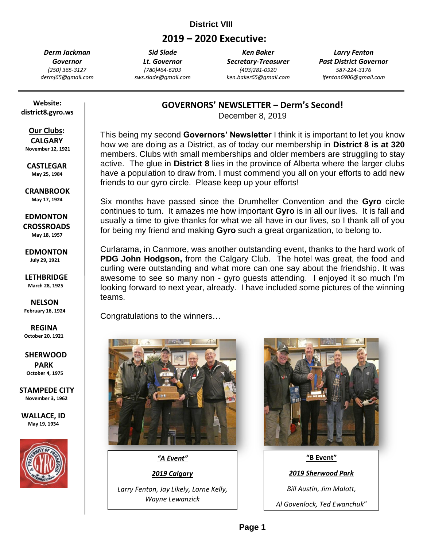# **District VIII**

# **2019 – 2020 Executive:**

*Derm Jackman Governor (250) 365-3127 dermj65@gmail.com*

*Sid Slade Lt. Governor (780)464-6203 sws.slade@gmail.com*

*Ken Baker Secretary-Treasurer (403)281-0920 ken.baker65@gmail.com*

*Larry Fenton Past District Governor 587-224-3176 lfenton6906@gmail.com*

 **Website: district8.gyro.ws**

# **Our Clubs:**

 **CALGARY November 12, 1921**

 **CASTLEGAR May 25, 1984**

 **CRANBROOK May 17, 1924**

 **EDMONTON CROSSROADS May 18, 1957**

 **EDMONTON July 29, 1921**

 **LETHBRIDGE March 28, 1925**

 **NELSON February 16, 1924**

 **REGINA October 20, 1921**

 **SHERWOOD PARK October 4, 1975**

**STAMPEDE CITY November 3, 1962**

**WALLACE, ID May 19, 1934**



**GOVERNORS' NEWSLETTER – Derm's Second!**

December 8, 2019

This being my second **Governors' Newsletter** I think it is important to let you know how we are doing as a District, as of today our membership in **District 8 is at 320** members. Clubs with small memberships and older members are struggling to stay active. The glue in **District 8** lies in the province of Alberta where the larger clubs have a population to draw from. I must commend you all on your efforts to add new friends to our gyro circle. Please keep up your efforts!

Six months have passed since the Drumheller Convention and the **Gyro** circle continues to turn. It amazes me how important **Gyro** is in all our lives. It is fall and usually a time to give thanks for what we all have in our lives, so I thank all of you for being my friend and making **Gyro** such a great organization, to belong to.

Curlarama, in Canmore, was another outstanding event, thanks to the hard work of **PDG John Hodgson,** from the Calgary Club. The hotel was great, the food and curling were outstanding and what more can one say about the friendship. It was awesome to see so many non - gyro guests attending. I enjoyed it so much I'm looking forward to next year, already. I have included some pictures of the winning teams.

Congratulations to the winners…



*"A Event"*

*2019 Calgary*

*Larry Fenton, Jay Likely, Lorne Kelly, Wayne Lewanzick*





**'A Fraternity of**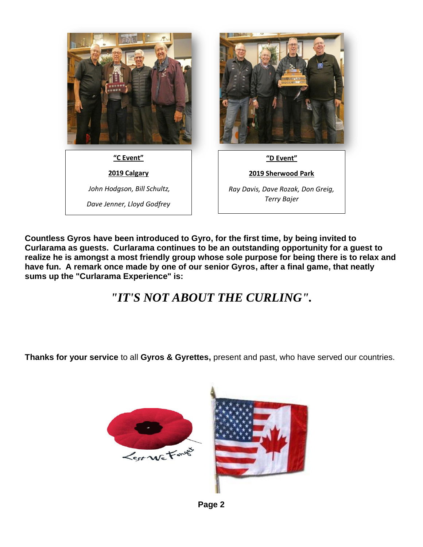

**Countless Gyros have been introduced to Gyro, for the first time, by being invited to Curlarama as guests. Curlarama continues to be an outstanding opportunity for a guest to realize he is amongst a most friendly group whose sole purpose for being there is to relax and have fun. A remark once made by one of our senior Gyros, after a final game, that neatly sums up the "Curlarama Experience" is:** 

# *"IT'S NOT ABOUT THE CURLING".*

**Thanks for your service** to all **Gyros & Gyrettes,** present and past, who have served our countries.



**Page 2**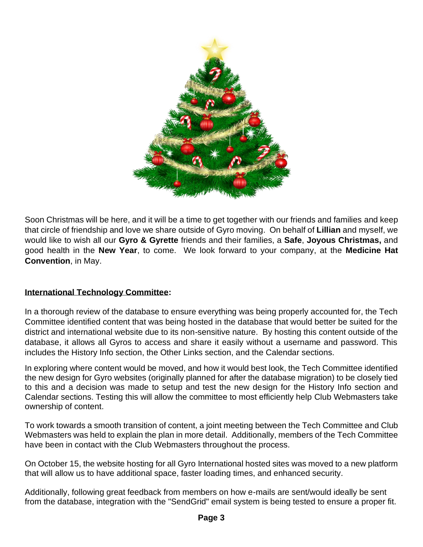

Soon Christmas will be here, and it will be a time to get together with our friends and families and keep that circle of friendship and love we share outside of Gyro moving. On behalf of **Lillian** and myself, we would like to wish all our **Gyro & Gyrette** friends and their families, a **Safe**, **Joyous Christmas,** and good health in the **New Year**, to come. We look forward to your company, at the **Medicine Hat Convention**, in May.

#### **International Technology Committee:**

In a thorough review of the database to ensure everything was being properly accounted for, the Tech Committee identified content that was being hosted in the database that would better be suited for the district and international website due to its non-sensitive nature. By hosting this content outside of the database, it allows all Gyros to access and share it easily without a username and password. This includes the History Info section, the Other Links section, and the Calendar sections.

In exploring where content would be moved, and how it would best look, the Tech Committee identified the new design for Gyro websites (originally planned for after the database migration) to be closely tied to this and a decision was made to setup and test the new design for the History Info section and Calendar sections. Testing this will allow the committee to most efficiently help Club Webmasters take ownership of content.

To work towards a smooth transition of content, a joint meeting between the Tech Committee and Club Webmasters was held to explain the plan in more detail. Additionally, members of the Tech Committee have been in contact with the Club Webmasters throughout the process.

On October 15, the website hosting for all Gyro International hosted sites was moved to a new platform that will allow us to have additional space, faster loading times, and enhanced security.

Additionally, following great feedback from members on how e-mails are sent/would ideally be sent from the database, integration with the "SendGrid" email system is being tested to ensure a proper fit.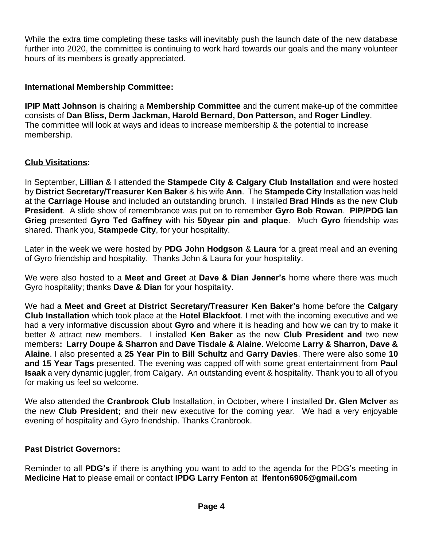While the extra time completing these tasks will inevitably push the launch date of the new database further into 2020, the committee is continuing to work hard towards our goals and the many volunteer hours of its members is greatly appreciated.

#### **International Membership Committee:**

**IPIP Matt Johnson** is chairing a **Membership Committee** and the current make-up of the committee consists of **Dan Bliss, Derm Jackman, Harold Bernard, Don Patterson,** and **Roger Lindley**. The committee will look at ways and ideas to increase membership & the potential to increase membership.

#### **Club Visitations:**

In September, **Lillian** & I attended the **Stampede City & Calgary Club Installation** and were hosted by **District Secretary/Treasurer Ken Baker** & his wife **Ann**. The **Stampede City** Installation was held at the **Carriage House** and included an outstanding brunch. I installed **Brad Hinds** as the new **Club President**. A slide show of remembrance was put on to remember **Gyro Bob Rowan**. **PIP/PDG Ian Grieg** presented **Gyro Ted Gaffney** with his **50year pin and plaque**. Much **Gyro** friendship was shared. Thank you, **Stampede City**, for your hospitality.

Later in the week we were hosted by **PDG John Hodgson** & **Laura** for a great meal and an evening of Gyro friendship and hospitality. Thanks John & Laura for your hospitality.

We were also hosted to a **Meet and Greet** at **Dave & Dian Jenner's** home where there was much Gyro hospitality; thanks **Dave & Dian** for your hospitality.

We had a **Meet and Greet** at **District Secretary/Treasurer Ken Baker's** home before the **Calgary Club Installation** which took place at the **Hotel Blackfoot**. I met with the incoming executive and we had a very informative discussion about **Gyro** and where it is heading and how we can try to make it better & attract new members. I installed **Ken Baker** as the new **Club President and** two new members**: Larry Doupe & Sharron** and **Dave Tisdale & Alaine**. Welcome **Larry & Sharron, Dave & Alaine**. I also presented a **25 Year Pin** to **Bill Schultz** and **Garry Davies**. There were also some **10 and 15 Year Tags** presented. The evening was capped off with some great entertainment from **Paul Isaak** a very dynamic juggler, from Calgary. An outstanding event & hospitality. Thank you to all of you for making us feel so welcome.

We also attended the **Cranbrook Club** Installation, in October, where I installed **Dr. Glen McIver** as the new **Club President;** and their new executive for the coming year. We had a very enjoyable evening of hospitality and Gyro friendship. Thanks Cranbrook.

#### **Past District Governors:**

Reminder to all **PDG's** if there is anything you want to add to the agenda for the PDG's meeting in **Medicine Hat** to please email or contact **IPDG Larry Fenton** at **lfenton6906@gmail.com**